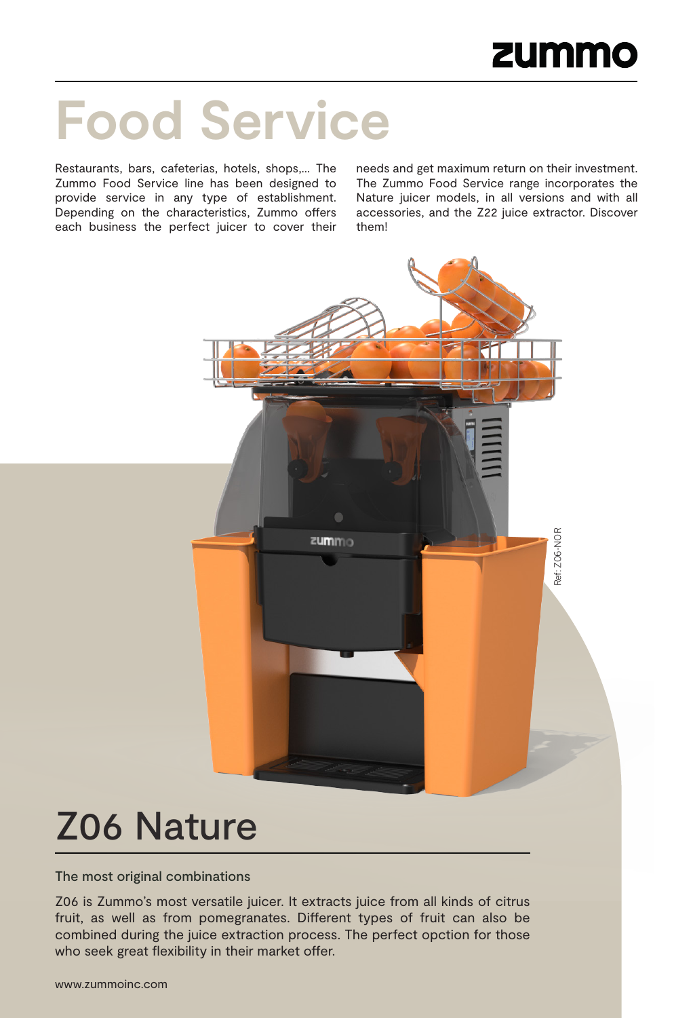# **Food Service**

Restaurants, bars, cafeterias, hotels, shops,… The Zummo Food Service line has been designed to provide service in any type of establishment. Depending on the characteristics, Zummo offers each business the perfect juicer to cover their

needs and get maximum return on their investment. The Zummo Food Service range incorporates the Nature juicer models, in all versions and with all accessories, and the Z22 juice extractor. Discover them!



## Z06 Nature

The most original combinations

Z06 is Zummo's most versatile juicer. It extracts juice from all kinds of citrus fruit, as well as from pomegranates. Different types of fruit can also be combined during the juice extraction process. The perfect opction for those who seek great flexibility in their market offer.